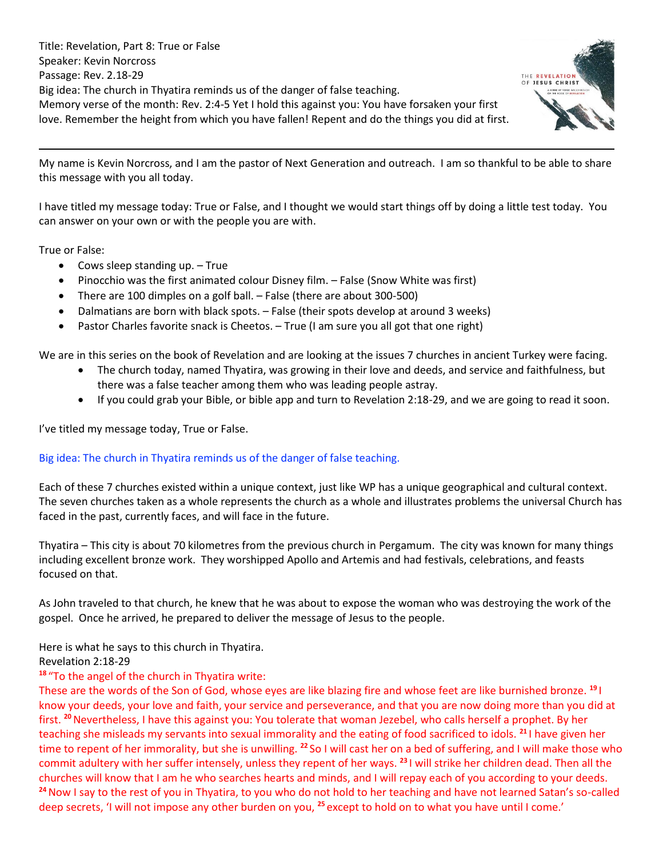Title: Revelation, Part 8: True or False Speaker: Kevin Norcross Passage: Rev. 2.18-29 Big idea: The church in Thyatira reminds us of the danger of false teaching. Memory verse of the month: Rev. 2:4-5 Yet I hold this against you: You have forsaken your first love. Remember the height from which you have fallen! Repent and do the things you did at first.



My name is Kevin Norcross, and I am the pastor of Next Generation and outreach. I am so thankful to be able to share this message with you all today.

I have titled my message today: True or False, and I thought we would start things off by doing a little test today. You can answer on your own or with the people you are with.

True or False:

- Cows sleep standing up. True
- Pinocchio was the first animated colour Disney film. False (Snow White was first)
- There are 100 dimples on a golf ball. False (there are about 300-500)
- Dalmatians are born with black spots. False (their spots develop at around 3 weeks)
- Pastor Charles favorite snack is Cheetos. True (I am sure you all got that one right)

We are in this series on the book of Revelation and are looking at the issues 7 churches in ancient Turkey were facing.

- The church today, named Thyatira, was growing in their love and deeds, and service and faithfulness, but there was a false teacher among them who was leading people astray.
- If you could grab your Bible, or bible app and turn to Revelation 2:18-29, and we are going to read it soon.

I've titled my message today, True or False.

#### Big idea: The church in Thyatira reminds us of the danger of false teaching.

Each of these 7 churches existed within a unique context, just like WP has a unique geographical and cultural context. The seven churches taken as a whole represents the church as a whole and illustrates problems the universal Church has faced in the past, currently faces, and will face in the future.

Thyatira – This city is about 70 kilometres from the previous church in Pergamum. The city was known for many things including excellent bronze work. They worshipped Apollo and Artemis and had festivals, celebrations, and feasts focused on that.

As John traveled to that church, he knew that he was about to expose the woman who was destroying the work of the gospel. Once he arrived, he prepared to deliver the message of Jesus to the people.

Here is what he says to this church in Thyatira.

#### Revelation 2:18-29

# **<sup>18</sup>** "To the angel of the church in Thyatira write:

These are the words of the Son of God, whose eyes are like blazing fire and whose feet are like burnished bronze. **<sup>19</sup>** I know your deeds, your love and faith, your service and perseverance, and that you are now doing more than you did at first. **<sup>20</sup>**Nevertheless, I have this against you: You tolerate that woman Jezebel, who calls herself a prophet. By her teaching she misleads my servants into sexual immorality and the eating of food sacrificed to idols. **<sup>21</sup>** I have given her time to repent of her immorality, but she is unwilling. **<sup>22</sup>** So I will cast her on a bed of suffering, and I will make those who commit adultery with her suffer intensely, unless they repent of her ways. **<sup>23</sup>** I will strike her children dead. Then all the churches will know that I am he who searches hearts and minds, and I will repay each of you according to your deeds. **<sup>24</sup>**Now I say to the rest of you in Thyatira, to you who do not hold to her teaching and have not learned Satan's so-called deep secrets, 'I will not impose any other burden on you, **<sup>25</sup>** except to hold on to what you have until I come.'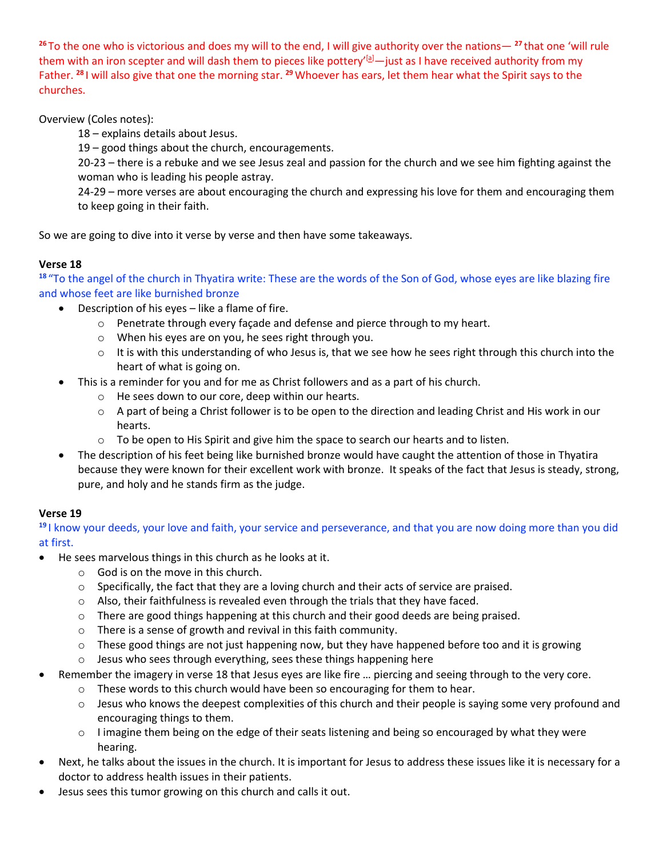**<sup>26</sup>** To the one who is victorious and does my will to the end, I will give authority over the nations— **<sup>27</sup>** that one 'will rule them with an iron scepter and will dash them to pieces like pottery'<sup>[\[a\]](https://www.biblegateway.com/passage/?search=Revelation%202%3A18-29&version=NIV#fen-NIV-30745a)</sup> — just as I have received authority from my Father. **<sup>28</sup>** I will also give that one the morning star. **<sup>29</sup>**Whoever has ears, let them hear what the Spirit says to the churches.

Overview (Coles notes):

18 – explains details about Jesus.

19 – good things about the church, encouragements.

20-23 – there is a rebuke and we see Jesus zeal and passion for the church and we see him fighting against the woman who is leading his people astray.

24-29 – more verses are about encouraging the church and expressing his love for them and encouraging them to keep going in their faith.

So we are going to dive into it verse by verse and then have some takeaways.

# **Verse 18**

**<sup>18</sup>** "To the angel of the church in Thyatira write: These are the words of the Son of God, whose eyes are like blazing fire and whose feet are like burnished bronze

- Description of his eyes like a flame of fire.
	- o Penetrate through every façade and defense and pierce through to my heart.
	- o When his eyes are on you, he sees right through you.
	- $\circ$  It is with this understanding of who Jesus is, that we see how he sees right through this church into the heart of what is going on.
- This is a reminder for you and for me as Christ followers and as a part of his church.
	- o He sees down to our core, deep within our hearts.
	- o A part of being a Christ follower is to be open to the direction and leading Christ and His work in our hearts.
	- $\circ$  To be open to His Spirit and give him the space to search our hearts and to listen.
- The description of his feet being like burnished bronze would have caught the attention of those in Thyatira because they were known for their excellent work with bronze. It speaks of the fact that Jesus is steady, strong, pure, and holy and he stands firm as the judge.

# **Verse 19**

**<sup>19</sup>** I know your deeds, your love and faith, your service and perseverance, and that you are now doing more than you did at first.

- He sees marvelous things in this church as he looks at it.
	- o God is on the move in this church.
	- $\circ$  Specifically, the fact that they are a loving church and their acts of service are praised.
	- o Also, their faithfulness is revealed even through the trials that they have faced.
	- $\circ$  There are good things happening at this church and their good deeds are being praised.
	- o There is a sense of growth and revival in this faith community.
	- $\circ$  These good things are not just happening now, but they have happened before too and it is growing
	- o Jesus who sees through everything, sees these things happening here
	- Remember the imagery in verse 18 that Jesus eyes are like fire … piercing and seeing through to the very core.
		- o These words to this church would have been so encouraging for them to hear.
		- $\circ$  Jesus who knows the deepest complexities of this church and their people is saying some very profound and encouraging things to them.
		- o I imagine them being on the edge of their seats listening and being so encouraged by what they were hearing.
- Next, he talks about the issues in the church. It is important for Jesus to address these issues like it is necessary for a doctor to address health issues in their patients.
- Jesus sees this tumor growing on this church and calls it out.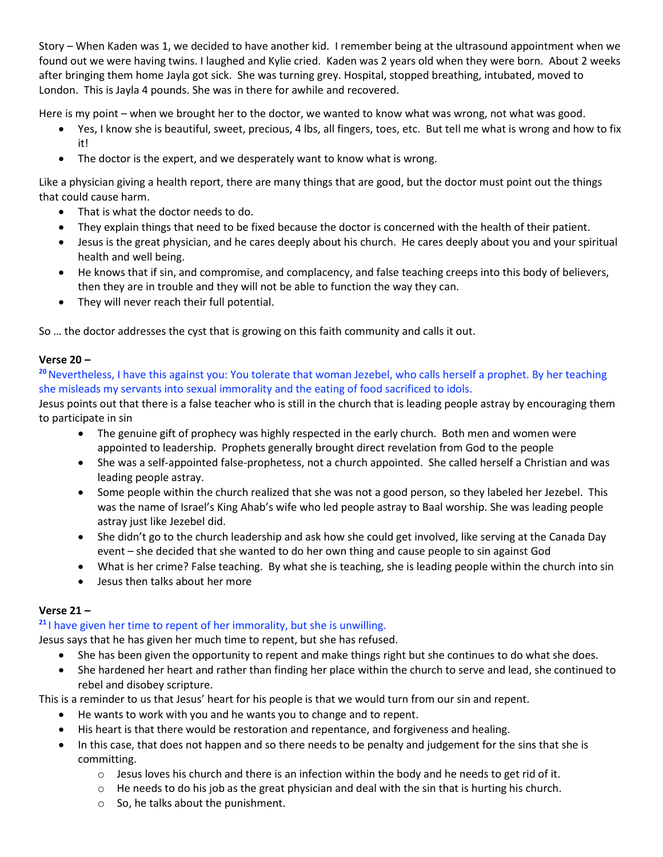Story – When Kaden was 1, we decided to have another kid. I remember being at the ultrasound appointment when we found out we were having twins. I laughed and Kylie cried. Kaden was 2 years old when they were born. About 2 weeks after bringing them home Jayla got sick. She was turning grey. Hospital, stopped breathing, intubated, moved to London. This is Jayla 4 pounds. She was in there for awhile and recovered.

Here is my point – when we brought her to the doctor, we wanted to know what was wrong, not what was good.

- Yes, I know she is beautiful, sweet, precious, 4 lbs, all fingers, toes, etc. But tell me what is wrong and how to fix it!
- The doctor is the expert, and we desperately want to know what is wrong.

Like a physician giving a health report, there are many things that are good, but the doctor must point out the things that could cause harm.

- That is what the doctor needs to do.
- They explain things that need to be fixed because the doctor is concerned with the health of their patient.
- Jesus is the great physician, and he cares deeply about his church. He cares deeply about you and your spiritual health and well being.
- He knows that if sin, and compromise, and complacency, and false teaching creeps into this body of believers, then they are in trouble and they will not be able to function the way they can.
- They will never reach their full potential.

So … the doctor addresses the cyst that is growing on this faith community and calls it out.

### **Verse 20 –**

**<sup>20</sup>**Nevertheless, I have this against you: You tolerate that woman Jezebel, who calls herself a prophet. By her teaching she misleads my servants into sexual immorality and the eating of food sacrificed to idols.

Jesus points out that there is a false teacher who is still in the church that is leading people astray by encouraging them to participate in sin

- The genuine gift of prophecy was highly respected in the early church. Both men and women were appointed to leadership. Prophets generally brought direct revelation from God to the people
- She was a self-appointed false-prophetess, not a church appointed. She called herself a Christian and was leading people astray.
- Some people within the church realized that she was not a good person, so they labeled her Jezebel. This was the name of Israel's King Ahab's wife who led people astray to Baal worship. She was leading people astray just like Jezebel did.
- She didn't go to the church leadership and ask how she could get involved, like serving at the Canada Day event – she decided that she wanted to do her own thing and cause people to sin against God
- What is her crime? False teaching. By what she is teaching, she is leading people within the church into sin
- Jesus then talks about her more

# **Verse 21 –**

# **<sup>21</sup>** I have given her time to repent of her immorality, but she is unwilling.

Jesus says that he has given her much time to repent, but she has refused.

- She has been given the opportunity to repent and make things right but she continues to do what she does.
- She hardened her heart and rather than finding her place within the church to serve and lead, she continued to rebel and disobey scripture.

This is a reminder to us that Jesus' heart for his people is that we would turn from our sin and repent.

- He wants to work with you and he wants you to change and to repent.
- His heart is that there would be restoration and repentance, and forgiveness and healing.
- In this case, that does not happen and so there needs to be penalty and judgement for the sins that she is committing.
	- $\circ$  Jesus loves his church and there is an infection within the body and he needs to get rid of it.
	- $\circ$  He needs to do his job as the great physician and deal with the sin that is hurting his church.
	- o So, he talks about the punishment.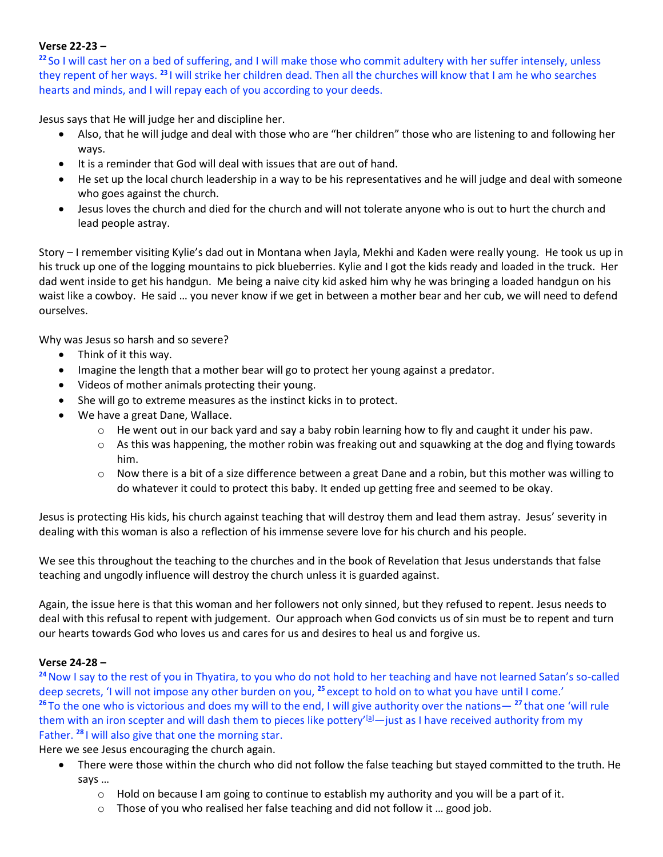### **Verse 22-23 –**

**<sup>22</sup>** So I will cast her on a bed of suffering, and I will make those who commit adultery with her suffer intensely, unless they repent of her ways. **<sup>23</sup>** I will strike her children dead. Then all the churches will know that I am he who searches hearts and minds, and I will repay each of you according to your deeds.

Jesus says that He will judge her and discipline her.

- Also, that he will judge and deal with those who are "her children" those who are listening to and following her ways.
- It is a reminder that God will deal with issues that are out of hand.
- He set up the local church leadership in a way to be his representatives and he will judge and deal with someone who goes against the church.
- Jesus loves the church and died for the church and will not tolerate anyone who is out to hurt the church and lead people astray.

Story – I remember visiting Kylie's dad out in Montana when Jayla, Mekhi and Kaden were really young. He took us up in his truck up one of the logging mountains to pick blueberries. Kylie and I got the kids ready and loaded in the truck. Her dad went inside to get his handgun. Me being a naive city kid asked him why he was bringing a loaded handgun on his waist like a cowboy. He said … you never know if we get in between a mother bear and her cub, we will need to defend ourselves.

Why was Jesus so harsh and so severe?

- Think of it this way.
- Imagine the length that a mother bear will go to protect her young against a predator.
- Videos of mother animals protecting their young.
- She will go to extreme measures as the instinct kicks in to protect.
- We have a great Dane, Wallace.
	- $\circ$  He went out in our back yard and say a baby robin learning how to fly and caught it under his paw.
	- $\circ$  As this was happening, the mother robin was freaking out and squawking at the dog and flying towards him.
	- $\circ$  Now there is a bit of a size difference between a great Dane and a robin, but this mother was willing to do whatever it could to protect this baby. It ended up getting free and seemed to be okay.

Jesus is protecting His kids, his church against teaching that will destroy them and lead them astray. Jesus' severity in dealing with this woman is also a reflection of his immense severe love for his church and his people.

We see this throughout the teaching to the churches and in the book of Revelation that Jesus understands that false teaching and ungodly influence will destroy the church unless it is guarded against.

Again, the issue here is that this woman and her followers not only sinned, but they refused to repent. Jesus needs to deal with this refusal to repent with judgement. Our approach when God convicts us of sin must be to repent and turn our hearts towards God who loves us and cares for us and desires to heal us and forgive us.

#### **Verse 24-28 –**

<sup>24</sup> Now I say to the rest of you in Thyatira, to you who do not hold to her teaching and have not learned Satan's so-called deep secrets, 'I will not impose any other burden on you, **<sup>25</sup>** except to hold on to what you have until I come.' **<sup>26</sup>** To the one who is victorious and does my will to the end, I will give authority over the nations— **<sup>27</sup>** that one 'will rule them with an iron scepter and will dash them to pieces like pottery' $[2]$ -just as I have received authority from my Father. **<sup>28</sup>** I will also give that one the morning star.

Here we see Jesus encouraging the church again.

- There were those within the church who did not follow the false teaching but stayed committed to the truth. He says …
	- $\circ$  Hold on because I am going to continue to establish my authority and you will be a part of it.
	- o Those of you who realised her false teaching and did not follow it … good job.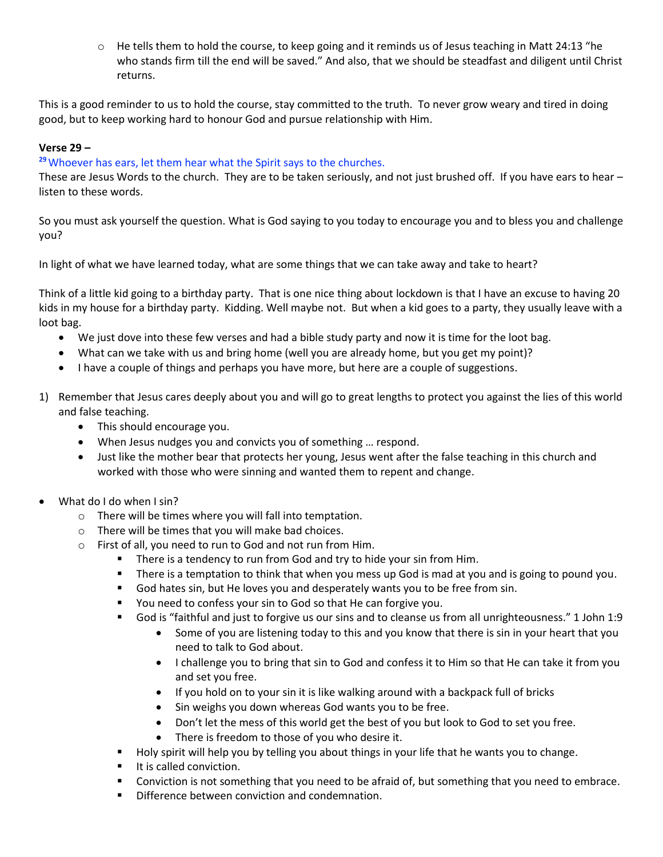$\circ$  He tells them to hold the course, to keep going and it reminds us of Jesus teaching in Matt 24:13 "he who stands firm till the end will be saved." And also, that we should be steadfast and diligent until Christ returns.

This is a good reminder to us to hold the course, stay committed to the truth. To never grow weary and tired in doing good, but to keep working hard to honour God and pursue relationship with Him.

### **Verse 29 –**

#### **<sup>29</sup>**Whoever has ears, let them hear what the Spirit says to the churches.

These are Jesus Words to the church. They are to be taken seriously, and not just brushed off. If you have ears to hear – listen to these words.

So you must ask yourself the question. What is God saying to you today to encourage you and to bless you and challenge you?

In light of what we have learned today, what are some things that we can take away and take to heart?

Think of a little kid going to a birthday party. That is one nice thing about lockdown is that I have an excuse to having 20 kids in my house for a birthday party. Kidding. Well maybe not. But when a kid goes to a party, they usually leave with a loot bag.

- We just dove into these few verses and had a bible study party and now it is time for the loot bag.
- What can we take with us and bring home (well you are already home, but you get my point)?
- I have a couple of things and perhaps you have more, but here are a couple of suggestions.
- 1) Remember that Jesus cares deeply about you and will go to great lengths to protect you against the lies of this world and false teaching.
	- This should encourage you.
	- When Jesus nudges you and convicts you of something … respond.
	- Just like the mother bear that protects her young, Jesus went after the false teaching in this church and worked with those who were sinning and wanted them to repent and change.
- What do I do when I sin?
	- o There will be times where you will fall into temptation.
	- o There will be times that you will make bad choices.
	- o First of all, you need to run to God and not run from Him.
		- There is a tendency to run from God and try to hide your sin from Him.
		- **■** There is a temptation to think that when you mess up God is mad at you and is going to pound you.
		- God hates sin, but He loves you and desperately wants you to be free from sin.
		- You need to confess your sin to God so that He can forgive you.
		- God is "faithful and just to forgive us our sins and to cleanse us from all unrighteousness." 1 John 1:9
			- Some of you are listening today to this and you know that there is sin in your heart that you need to talk to God about.
			- I challenge you to bring that sin to God and confess it to Him so that He can take it from you and set you free.
			- If you hold on to your sin it is like walking around with a backpack full of bricks
			- Sin weighs you down whereas God wants you to be free.
			- Don't let the mess of this world get the best of you but look to God to set you free.
			- There is freedom to those of you who desire it.
		- Holy spirit will help you by telling you about things in your life that he wants you to change.
		- It is called conviction.
		- Conviction is not something that you need to be afraid of, but something that you need to embrace.
		- Difference between conviction and condemnation.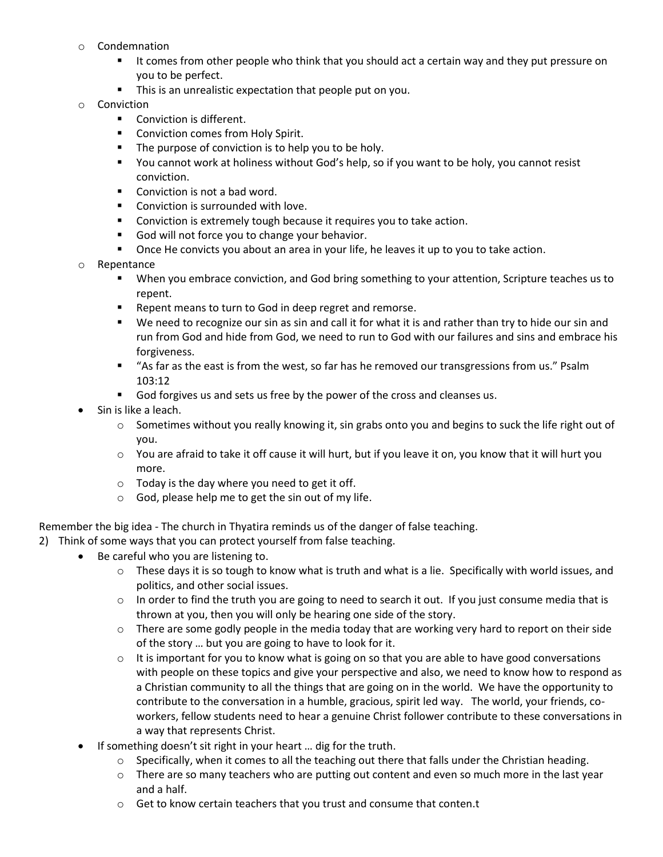- o Condemnation
	- It comes from other people who think that you should act a certain way and they put pressure on you to be perfect.
	- **·** This is an unrealistic expectation that people put on you.
- o Conviction
	- Conviction is different.
	- Conviction comes from Holy Spirit.
	- The purpose of conviction is to help you to be holy.
	- You cannot work at holiness without God's help, so if you want to be holy, you cannot resist conviction.
	- Conviction is not a bad word.
	- Conviction is surrounded with love.
	- Conviction is extremely tough because it requires you to take action.
	- God will not force you to change your behavior.
	- Once He convicts you about an area in your life, he leaves it up to you to take action.
- o Repentance
	- When you embrace conviction, and God bring something to your attention, Scripture teaches us to repent.
	- Repent means to turn to God in deep regret and remorse.
	- We need to recognize our sin as sin and call it for what it is and rather than try to hide our sin and run from God and hide from God, we need to run to God with our failures and sins and embrace his forgiveness.
	- "As far as the east is from the west, so far has he removed our transgressions from us." Psalm 103:12
	- God forgives us and sets us free by the power of the cross and cleanses us.
- Sin is like a leach.
	- $\circ$  Sometimes without you really knowing it, sin grabs onto you and begins to suck the life right out of you.
	- $\circ$  You are afraid to take it off cause it will hurt, but if you leave it on, you know that it will hurt you more.
	- $\circ$  Today is the day where you need to get it off.
	- o God, please help me to get the sin out of my life.

Remember the big idea - The church in Thyatira reminds us of the danger of false teaching.

- 2) Think of some ways that you can protect yourself from false teaching.
	- Be careful who you are listening to.
		- $\circ$  These days it is so tough to know what is truth and what is a lie. Specifically with world issues, and politics, and other social issues.
		- $\circ$  In order to find the truth you are going to need to search it out. If you just consume media that is thrown at you, then you will only be hearing one side of the story.
		- $\circ$  There are some godly people in the media today that are working very hard to report on their side of the story … but you are going to have to look for it.
		- $\circ$  It is important for you to know what is going on so that you are able to have good conversations with people on these topics and give your perspective and also, we need to know how to respond as a Christian community to all the things that are going on in the world. We have the opportunity to contribute to the conversation in a humble, gracious, spirit led way. The world, your friends, coworkers, fellow students need to hear a genuine Christ follower contribute to these conversations in a way that represents Christ.
	- If something doesn't sit right in your heart … dig for the truth.
		- $\circ$  Specifically, when it comes to all the teaching out there that falls under the Christian heading.
		- $\circ$  There are so many teachers who are putting out content and even so much more in the last year and a half.
		- o Get to know certain teachers that you trust and consume that conten.t